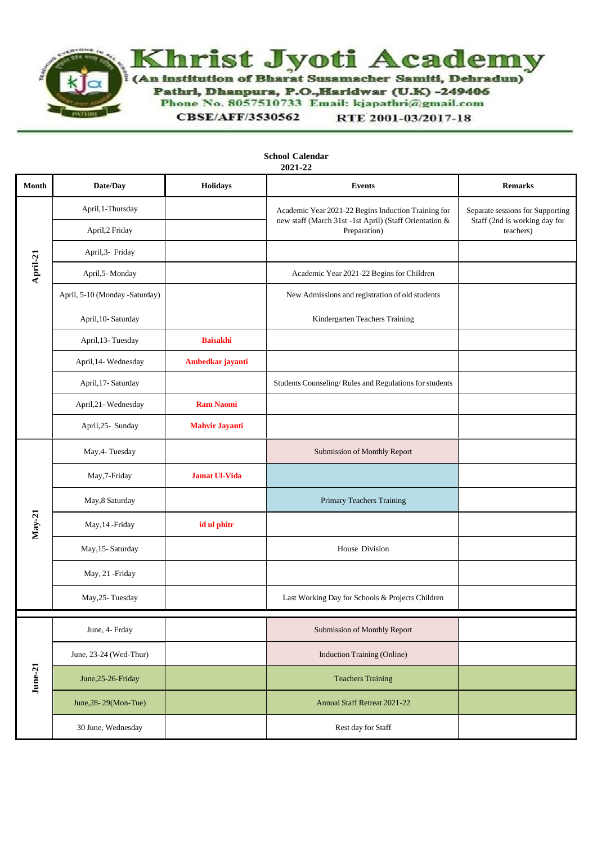

| Month    | Date/Day                       | Holidays              | 4041-44<br><b>Events</b>                                                                                                      | <b>Remarks</b>                                                                 |
|----------|--------------------------------|-----------------------|-------------------------------------------------------------------------------------------------------------------------------|--------------------------------------------------------------------------------|
| April-21 | April, 1-Thursday              |                       | Academic Year 2021-22 Begins Induction Training for<br>new staff (March 31st -1st April) (Staff Orientation &<br>Preparation) | Separate sessions for Supporting<br>Staff (2nd is working day for<br>teachers) |
|          | April, 2 Friday                |                       |                                                                                                                               |                                                                                |
|          | April, 3- Friday               |                       |                                                                                                                               |                                                                                |
|          | April, 5- Monday               |                       | Academic Year 2021-22 Begins for Children                                                                                     |                                                                                |
|          | April, 5-10 (Monday -Saturday) |                       | New Admissions and registration of old students                                                                               |                                                                                |
|          | April, 10-Saturday             |                       | Kindergarten Teachers Training                                                                                                |                                                                                |
|          | April, 13- Tuesday             | <b>Baisakhi</b>       |                                                                                                                               |                                                                                |
|          | April, 14- Wednesday           | Ambedkar jayanti      |                                                                                                                               |                                                                                |
|          | April, 17- Saturday            |                       | Students Counseling/Rules and Regulations for students                                                                        |                                                                                |
|          | April, 21 - Wednesday          | <b>Ram Naomi</b>      |                                                                                                                               |                                                                                |
|          | April, 25- Sunday              | <b>Mahvir Jayanti</b> |                                                                                                                               |                                                                                |
| $May-21$ | May, 4- Tuesday                |                       | Submission of Monthly Report                                                                                                  |                                                                                |
|          | May, 7-Friday                  | <b>Jamat Ul-Vida</b>  |                                                                                                                               |                                                                                |
|          | May, 8 Saturday                |                       | Primary Teachers Training                                                                                                     |                                                                                |
|          | May, 14 - Friday               | id ul phitr           |                                                                                                                               |                                                                                |
|          | May, 15-Saturday               |                       | House Division                                                                                                                |                                                                                |
|          | May, 21 -Friday                |                       |                                                                                                                               |                                                                                |
|          | May, 25-Tuesday                |                       | Last Working Day for Schools & Projects Children                                                                              |                                                                                |
| June-21  | June, 4- Frday                 |                       | <b>Submission of Monthly Report</b>                                                                                           |                                                                                |
|          | June, 23-24 (Wed-Thur)         |                       | <b>Induction Training (Online)</b>                                                                                            |                                                                                |
|          | June, 25-26-Friday             |                       | <b>Teachers Training</b>                                                                                                      |                                                                                |
|          | June, 28-29 (Mon-Tue)          |                       | <b>Annual Staff Retreat 2021-22</b>                                                                                           |                                                                                |
|          | 30 June, Wednesday             |                       | Rest day for Staff                                                                                                            |                                                                                |

**School Calendar 2021-22**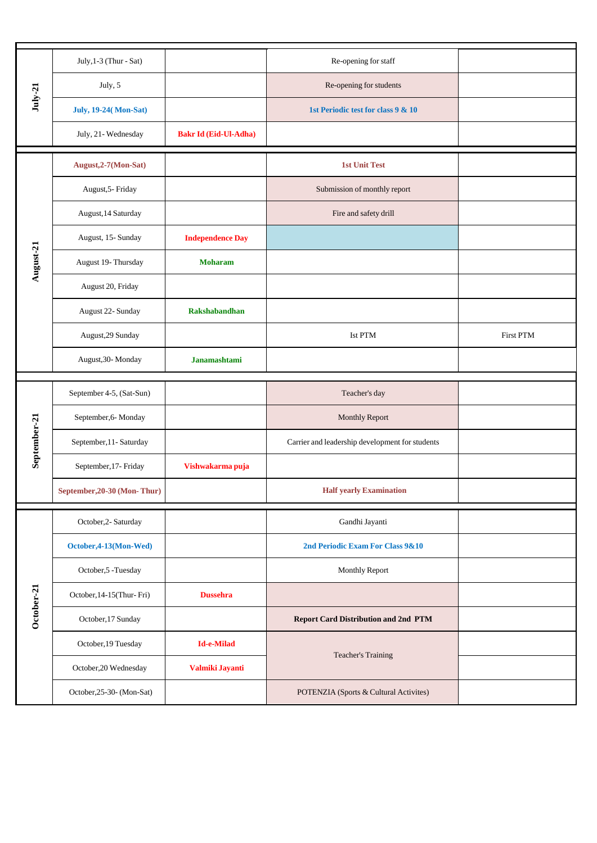| $July-21$    | July, 1-3 (Thur - Sat)      |                              | Re-opening for staff                            |           |
|--------------|-----------------------------|------------------------------|-------------------------------------------------|-----------|
|              | July, 5                     |                              | Re-opening for students                         |           |
|              | <b>July, 19-24(Mon-Sat)</b> |                              | 1st Periodic test for class 9 & 10              |           |
|              | July, 21-Wednesday          | <b>Bakr Id (Eid-Ul-Adha)</b> |                                                 |           |
|              | August, 2-7(Mon-Sat)        |                              | <b>1st Unit Test</b>                            |           |
|              | August, 5- Friday           |                              | Submission of monthly report                    |           |
|              | August, 14 Saturday         |                              | Fire and safety drill                           |           |
|              | August, 15-Sunday           | <b>Independence Day</b>      |                                                 |           |
| August-21    | August 19- Thursday         | <b>Moharam</b>               |                                                 |           |
|              | August 20, Friday           |                              |                                                 |           |
|              | August 22- Sunday           | <b>Rakshabandhan</b>         |                                                 |           |
|              | August, 29 Sunday           |                              | Ist PTM                                         | First PTM |
|              | August, 30-Monday           | <b>Janamashtami</b>          |                                                 |           |
|              |                             |                              |                                                 |           |
|              | September 4-5, (Sat-Sun)    |                              | Teacher's day                                   |           |
|              | September, 6- Monday        |                              | <b>Monthly Report</b>                           |           |
|              | September, 11- Saturday     |                              | Carrier and leadership development for students |           |
| September-21 | September, 17- Friday       | Vishwakarma puja             |                                                 |           |
|              | September, 20-30 (Mon-Thur) |                              | <b>Half yearly Examination</b>                  |           |
|              | October, 2- Saturday        |                              | Gandhi Jayanti                                  |           |
|              | October, 4-13 (Mon-Wed)     |                              | 2nd Periodic Exam For Class 9&10                |           |
|              | October, 5-Tuesday          |                              | <b>Monthly Report</b>                           |           |
|              | October, 14-15(Thur-Fri)    | <b>Dussehra</b>              |                                                 |           |
| October-21   | October, 17 Sunday          |                              | <b>Report Card Distribution and 2nd PTM</b>     |           |
|              | October, 19 Tuesday         | <b>Id-e-Milad</b>            |                                                 |           |
|              | October, 20 Wednesday       | Valmiki Jayanti              | Teacher's Training                              |           |